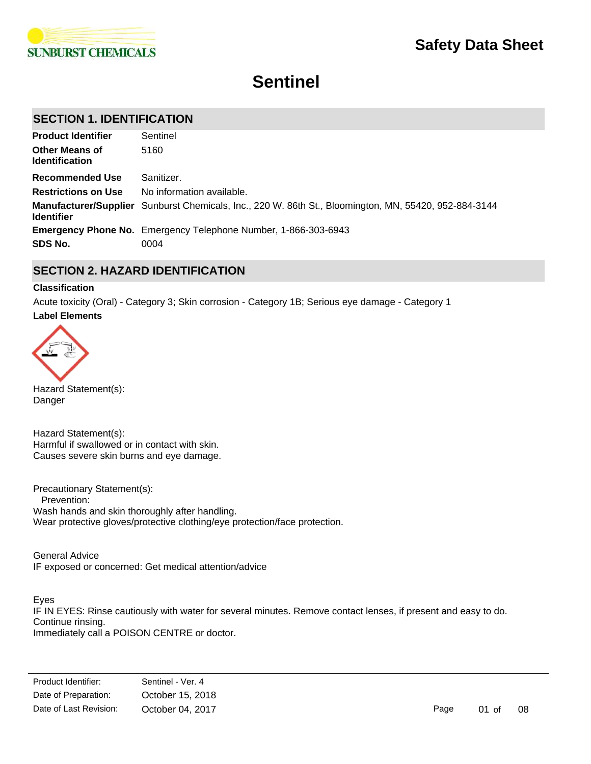

# **Sentinel**

# **SECTION 1. IDENTIFICATION**

| <b>Product Identifier</b>                      | Sentinel                                                                                              |
|------------------------------------------------|-------------------------------------------------------------------------------------------------------|
| <b>Other Means of</b><br><b>Identification</b> | 5160                                                                                                  |
| Recommended Use                                | Sanitizer.                                                                                            |
| <b>Restrictions on Use</b>                     | No information available.                                                                             |
| <b>Identifier</b>                              | Manufacturer/Supplier Sunburst Chemicals, Inc., 220 W. 86th St., Bloomington, MN, 55420, 952-884-3144 |
|                                                | <b>Emergency Phone No.</b> Emergency Telephone Number, 1-866-303-6943                                 |
| SDS No.                                        | 0004                                                                                                  |

### **SECTION 2. HAZARD IDENTIFICATION**

### **Classification**

**Label Elements** Acute toxicity (Oral) - Category 3; Skin corrosion - Category 1B; Serious eye damage - Category 1



Hazard Statement(s): Danger

Hazard Statement(s): Harmful if swallowed or in contact with skin. Causes severe skin burns and eye damage.

Precautionary Statement(s): Prevention: Wash hands and skin thoroughly after handling. Wear protective gloves/protective clothing/eye protection/face protection.

General Advice IF exposed or concerned: Get medical attention/advice

Eyes IF IN EYES: Rinse cautiously with water for several minutes. Remove contact lenses, if present and easy to do. Continue rinsing. Immediately call a POISON CENTRE or doctor.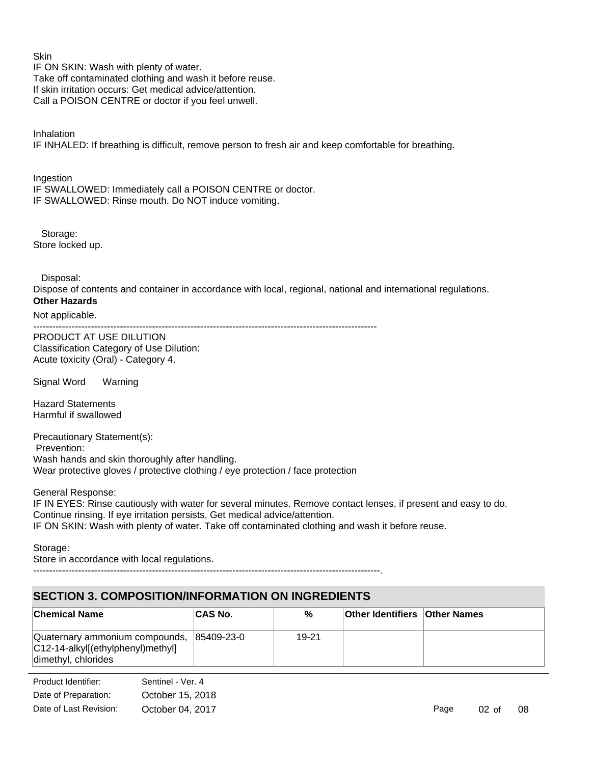**Skin** IF ON SKIN: Wash with plenty of water. Take off contaminated clothing and wash it before reuse. If skin irritation occurs: Get medical advice/attention. Call a POISON CENTRE or doctor if you feel unwell.

Inhalation IF INHALED: If breathing is difficult, remove person to fresh air and keep comfortable for breathing.

**Ingestion** IF SWALLOWED: Immediately call a POISON CENTRE or doctor. IF SWALLOWED: Rinse mouth. Do NOT induce vomiting.

 Storage: Store locked up.

Disposal:

Dispose of contents and container in accordance with local, regional, national and international regulations. **Other Hazards**

### Not applicable.

-----------------------------------------------------------------------------------------------------------

PRODUCT AT USE DILUTION Classification Category of Use Dilution: Acute toxicity (Oral) - Category 4.

Signal Word Warning

Hazard Statements Harmful if swallowed

Precautionary Statement(s): Prevention: Wash hands and skin thoroughly after handling. Wear protective gloves / protective clothing / eye protection / face protection

General Response:

IF IN EYES: Rinse cautiously with water for several minutes. Remove contact lenses, if present and easy to do. Continue rinsing. If eye irritation persists, Get medical advice/attention. IF ON SKIN: Wash with plenty of water. Take off contaminated clothing and wash it before reuse.

Storage:

Store in accordance with local regulations.

------------------------------------------------------------------------------------------------------------.

# **SECTION 3. COMPOSITION/INFORMATION ON INGREDIENTS**

| <b>Chemical Name</b>                                                                                  | <b>CAS No.</b> | %     | <b>Other Identifiers Other Names</b> |  |
|-------------------------------------------------------------------------------------------------------|----------------|-------|--------------------------------------|--|
| Quaternary ammonium compounds, 85409-23-0<br>C12-14-alkyl[(ethylphenyl)methyl]<br>dimethyl, chlorides |                | 19-21 |                                      |  |

Date of Preparation: October 15, 2018 Product Identifier: Sentinel - Ver. 4 Date of Last Revision: October 04, 2017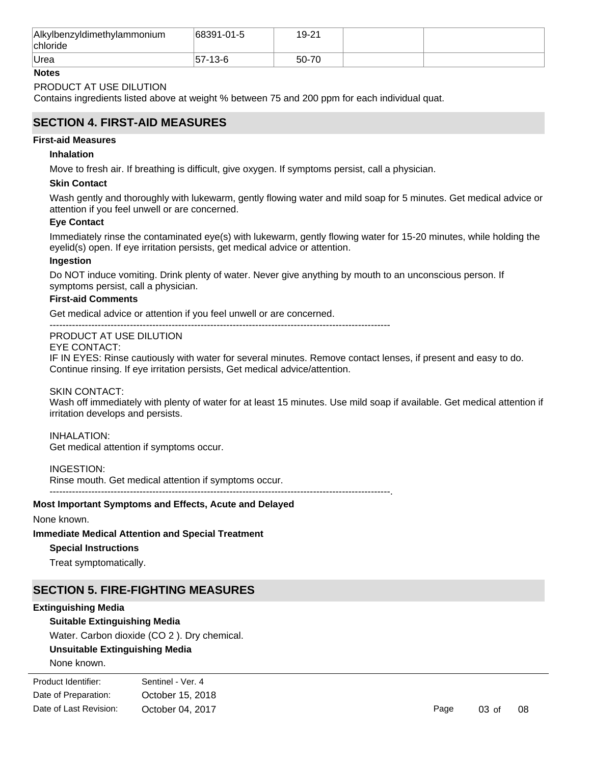| Alkylbenzyldimethylammonium<br>chloride | 68391-01-5 | 19-21 |  |
|-----------------------------------------|------------|-------|--|
| <b>Urea</b>                             | 57-13-6    | 50-70 |  |

### **Notes**

### PRODUCT AT USE DILUTION

Contains ingredients listed above at weight % between 75 and 200 ppm for each individual quat.

### **SECTION 4. FIRST-AID MEASURES**

### **First-aid Measures**

### **Inhalation**

Move to fresh air. If breathing is difficult, give oxygen. If symptoms persist, call a physician.

### **Skin Contact**

Wash gently and thoroughly with lukewarm, gently flowing water and mild soap for 5 minutes. Get medical advice or attention if you feel unwell or are concerned.

### **Eye Contact**

Immediately rinse the contaminated eye(s) with lukewarm, gently flowing water for 15-20 minutes, while holding the eyelid(s) open. If eye irritation persists, get medical advice or attention.

### **Ingestion**

Do NOT induce vomiting. Drink plenty of water. Never give anything by mouth to an unconscious person. If symptoms persist, call a physician.

### **First-aid Comments**

Get medical advice or attention if you feel unwell or are concerned.

#### ---------------------------------------------------------------------------------------------------------- PRODUCT AT USE DILUTION

EYE CONTACT:

IF IN EYES: Rinse cautiously with water for several minutes. Remove contact lenses, if present and easy to do. Continue rinsing. If eye irritation persists, Get medical advice/attention.

### SKIN CONTACT:

Wash off immediately with plenty of water for at least 15 minutes. Use mild soap if available. Get medical attention if irritation develops and persists.

INHALATION: Get medical attention if symptoms occur.

### INGESTION:

Rinse mouth. Get medical attention if symptoms occur. ----------------------------------------------------------------------------------------------------------.

### **Most Important Symptoms and Effects, Acute and Delayed**

None known.

### **Immediate Medical Attention and Special Treatment**

### **Special Instructions**

Treat symptomatically.

### **SECTION 5. FIRE-FIGHTING MEASURES**

### **Extinguishing Media**

### **Suitable Extinguishing Media**

Water. Carbon dioxide (CO 2 ). Dry chemical.

### **Unsuitable Extinguishing Media**

None known.

| Product Identifier:    | Sentinel - Ver. 4 |
|------------------------|-------------------|
| Date of Preparation:   | October 15, 2018  |
| Date of Last Revision: | October 04, 2017  |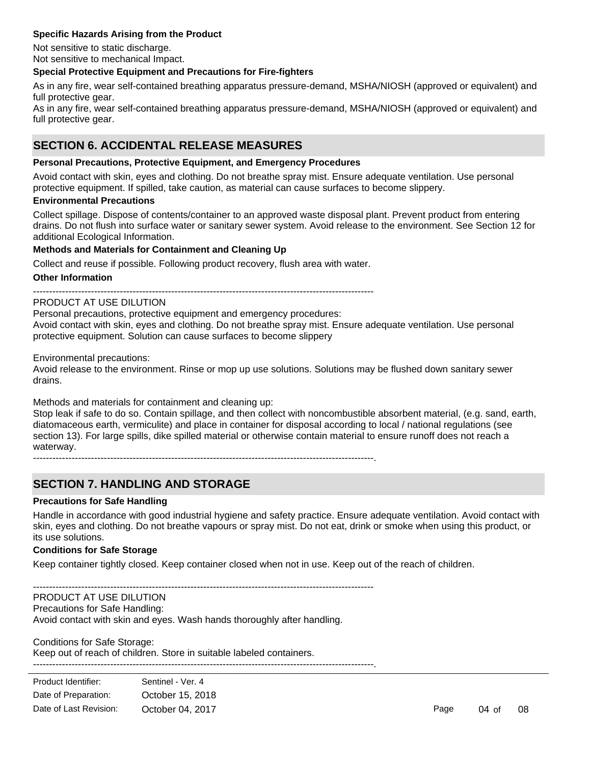### **Specific Hazards Arising from the Product**

Not sensitive to static discharge. Not sensitive to mechanical Impact.

### **Special Protective Equipment and Precautions for Fire-fighters**

As in any fire, wear self-contained breathing apparatus pressure-demand, MSHA/NIOSH (approved or equivalent) and full protective gear.

As in any fire, wear self-contained breathing apparatus pressure-demand, MSHA/NIOSH (approved or equivalent) and full protective gear.

### **SECTION 6. ACCIDENTAL RELEASE MEASURES**

### **Personal Precautions, Protective Equipment, and Emergency Procedures**

Avoid contact with skin, eyes and clothing. Do not breathe spray mist. Ensure adequate ventilation. Use personal protective equipment. If spilled, take caution, as material can cause surfaces to become slippery.

### **Environmental Precautions**

Collect spillage. Dispose of contents/container to an approved waste disposal plant. Prevent product from entering drains. Do not flush into surface water or sanitary sewer system. Avoid release to the environment. See Section 12 for additional Ecological Information.

### **Methods and Materials for Containment and Cleaning Up**

Collect and reuse if possible. Following product recovery, flush area with water.

#### **Other Information**

----------------------------------------------------------------------------------------------------------

### PRODUCT AT USE DILUTION

Personal precautions, protective equipment and emergency procedures: Avoid contact with skin, eyes and clothing. Do not breathe spray mist. Ensure adequate ventilation. Use personal protective equipment. Solution can cause surfaces to become slippery

Environmental precautions:

Avoid release to the environment. Rinse or mop up use solutions. Solutions may be flushed down sanitary sewer drains.

Methods and materials for containment and cleaning up:

Stop leak if safe to do so. Contain spillage, and then collect with noncombustible absorbent material, (e.g. sand, earth, diatomaceous earth, vermiculite) and place in container for disposal according to local / national regulations (see section 13). For large spills, dike spilled material or otherwise contain material to ensure runoff does not reach a waterway.

----------------------------------------------------------------------------------------------------------.

# **SECTION 7. HANDLING AND STORAGE**

### **Precautions for Safe Handling**

Handle in accordance with good industrial hygiene and safety practice. Ensure adequate ventilation. Avoid contact with skin, eyes and clothing. Do not breathe vapours or spray mist. Do not eat, drink or smoke when using this product, or its use solutions.

### **Conditions for Safe Storage**

Keep container tightly closed. Keep container closed when not in use. Keep out of the reach of children.

----------------------------------------------------------------------------------------------------------

#### PRODUCT AT USE DILUTION

Precautions for Safe Handling:

Avoid contact with skin and eyes. Wash hands thoroughly after handling.

# Conditions for Safe Storage:

Keep out of reach of children. Store in suitable labeled containers. ----------------------------------------------------------------------------------------------------------.

| Product Identifier:    | Sentinel - Ver. 4 |  |  |
|------------------------|-------------------|--|--|
| Date of Preparation:   | October 15, 2018  |  |  |
| Date of Last Revision: | October 04, 2017  |  |  |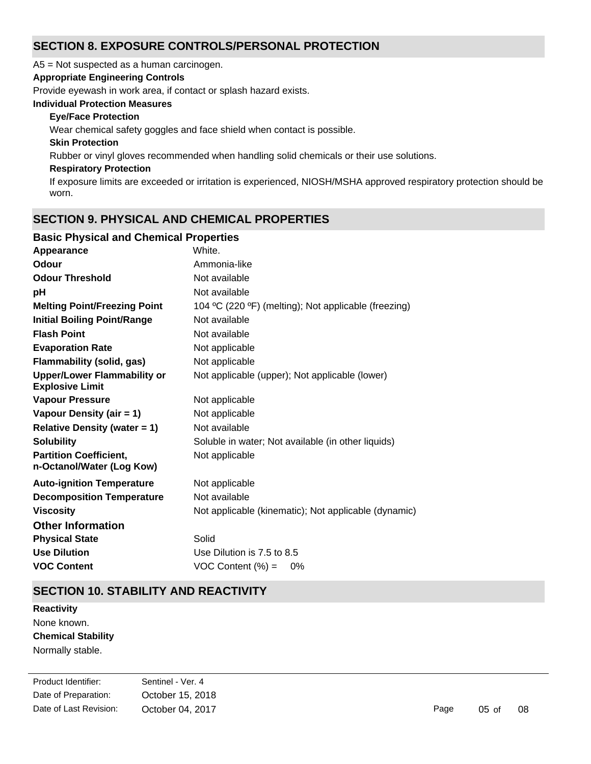# **SECTION 8. EXPOSURE CONTROLS/PERSONAL PROTECTION**

A5 = Not suspected as a human carcinogen.

### **Appropriate Engineering Controls**

Provide eyewash in work area, if contact or splash hazard exists.

### **Individual Protection Measures**

### **Eye/Face Protection**

Wear chemical safety goggles and face shield when contact is possible.

### **Skin Protection**

Rubber or vinyl gloves recommended when handling solid chemicals or their use solutions.

### **Respiratory Protection**

If exposure limits are exceeded or irritation is experienced, NIOSH/MSHA approved respiratory protection should be worn.

# **SECTION 9. PHYSICAL AND CHEMICAL PROPERTIES**

### **Basic Physical and Chemical Properties**

| White.                                               |
|------------------------------------------------------|
| Ammonia-like                                         |
| Not available                                        |
| Not available                                        |
| 104 °C (220 °F) (melting); Not applicable (freezing) |
| Not available                                        |
| Not available                                        |
| Not applicable                                       |
| Not applicable                                       |
| Not applicable (upper); Not applicable (lower)       |
| Not applicable                                       |
| Not applicable                                       |
| Not available                                        |
| Soluble in water; Not available (in other liquids)   |
| Not applicable                                       |
| Not applicable                                       |
| Not available                                        |
| Not applicable (kinematic); Not applicable (dynamic) |
|                                                      |
| Solid                                                |
| Use Dilution is 7.5 to 8.5                           |
| $VOC$ Content $(\%) =$<br>0%                         |
|                                                      |

# **SECTION 10. STABILITY AND REACTIVITY**

**Chemical Stability** Normally stable. **Reactivity** None known.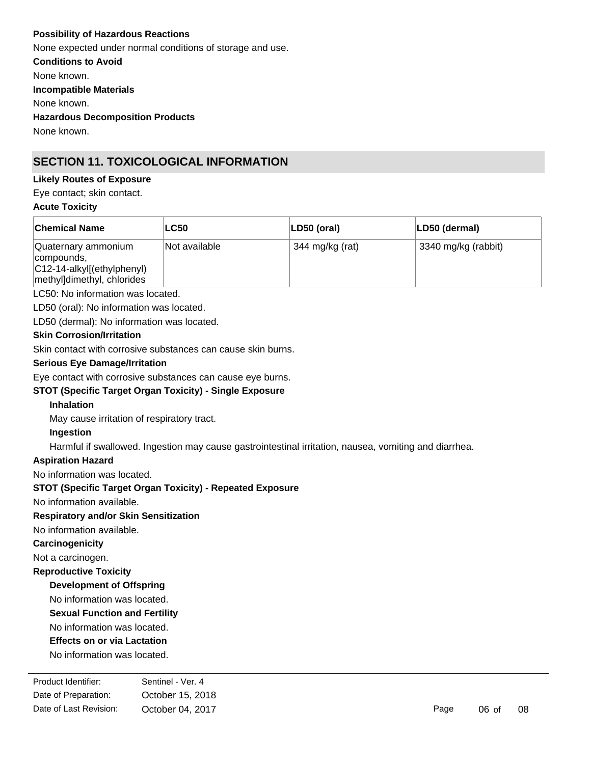### **Possibility of Hazardous Reactions**

None expected under normal conditions of storage and use.

**Conditions to Avoid**

None known.

**Incompatible Materials**

None known.

**Hazardous Decomposition Products**

None known.

# **SECTION 11. TOXICOLOGICAL INFORMATION**

### **Likely Routes of Exposure**

Eye contact; skin contact.

### **Acute Toxicity**

| <b>Chemical Name</b>                                                                              | <b>LC50</b>   | LD50 (oral)     | LD50 (dermal)       |
|---------------------------------------------------------------------------------------------------|---------------|-----------------|---------------------|
| Quaternary ammonium<br>compounds,<br>$ C12-14-alkyl[(ethylphenyl)]$<br>methylldimethyl, chlorides | Not available | 344 mg/kg (rat) | 3340 mg/kg (rabbit) |

LC50: No information was located.

LD50 (oral): No information was located.

LD50 (dermal): No information was located.

### **Skin Corrosion/Irritation**

Skin contact with corrosive substances can cause skin burns.

### **Serious Eye Damage/Irritation**

Eye contact with corrosive substances can cause eye burns.

### **STOT (Specific Target Organ Toxicity) - Single Exposure**

### **Inhalation**

May cause irritation of respiratory tract.

### **Ingestion**

Harmful if swallowed. Ingestion may cause gastrointestinal irritation, nausea, vomiting and diarrhea.

### **Aspiration Hazard**

No information was located.

### **STOT (Specific Target Organ Toxicity) - Repeated Exposure**

No information available.

### **Respiratory and/or Skin Sensitization**

No information available.

### **Carcinogenicity**

Not a carcinogen.

### **Reproductive Toxicity**

**Development of Offspring**

### No information was located.

**Sexual Function and Fertility**

No information was located.

### **Effects on or via Lactation**

No information was located.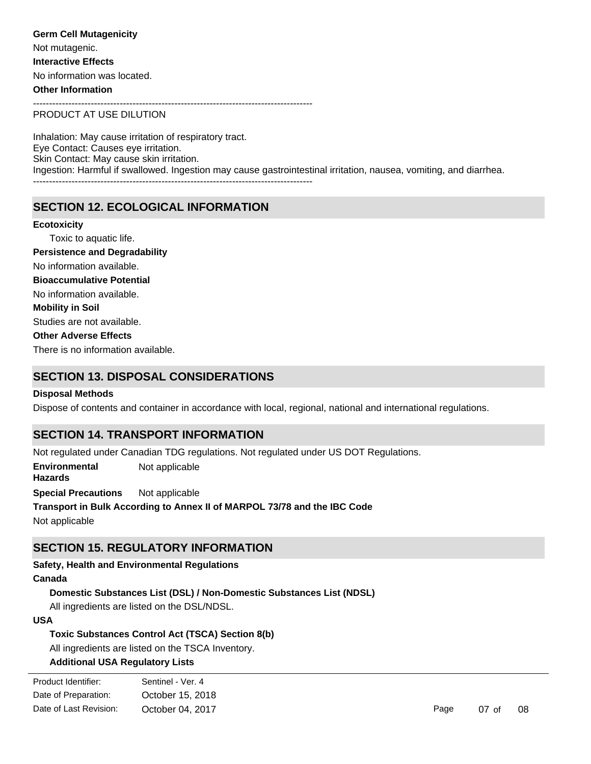**Germ Cell Mutagenicity** Not mutagenic. **Interactive Effects** No information was located. **Other Information**

---------------------------------------------------------------------------------------

PRODUCT AT USE DILUTION

Inhalation: May cause irritation of respiratory tract. Eye Contact: Causes eye irritation. Skin Contact: May cause skin irritation. Ingestion: Harmful if swallowed. Ingestion may cause gastrointestinal irritation, nausea, vomiting, and diarrhea. ---------------------------------------------------------------------------------------

# **SECTION 12. ECOLOGICAL INFORMATION**

Toxic to aquatic life. No information available. Studies are not available. There is no information available. No information available. **Ecotoxicity Persistence and Degradability Mobility in Soil Other Adverse Effects Bioaccumulative Potential**

### **SECTION 13. DISPOSAL CONSIDERATIONS**

### **Disposal Methods**

Dispose of contents and container in accordance with local, regional, national and international regulations.

### **SECTION 14. TRANSPORT INFORMATION**

Not regulated under Canadian TDG regulations. Not regulated under US DOT Regulations. **Special Precautions** Not applicable **Environmental Hazards** Not applicable

**Transport in Bulk According to Annex II of MARPOL 73/78 and the IBC Code** Not applicable

### **SECTION 15. REGULATORY INFORMATION**

**Safety, Health and Environmental Regulations**

### **Canada**

**Domestic Substances List (DSL) / Non-Domestic Substances List (NDSL)**

All ingredients are listed on the DSL/NDSL.

### **USA**

**Toxic Substances Control Act (TSCA) Section 8(b)**

All ingredients are listed on the TSCA Inventory.

### **Additional USA Regulatory Lists**

| Product Identifier:    | Sentinel - Ver. 4 |      |          |    |
|------------------------|-------------------|------|----------|----|
| Date of Preparation:   | October 15, 2018  |      |          |    |
| Date of Last Revision: | October 04, 2017  | Page | $07o$ of | 08 |